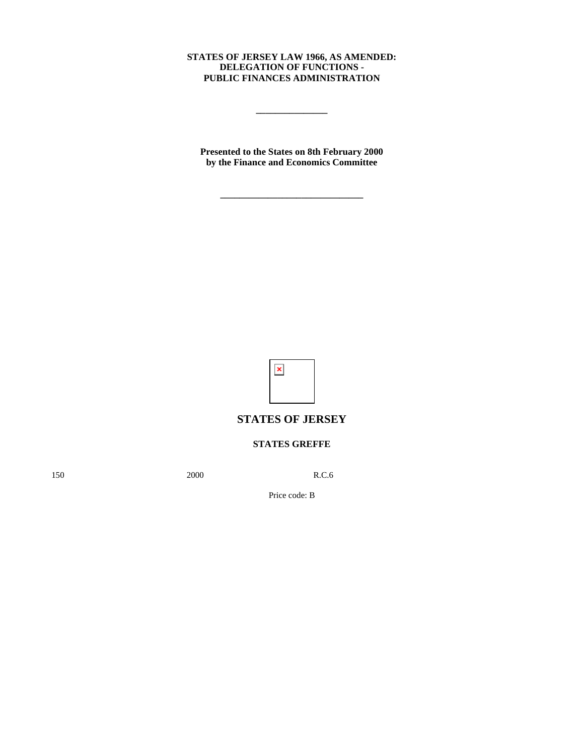### **STATES OF JERSEY LAW 1966, AS AMENDED: DELEGATION OF FUNCTIONS - PUBLIC FINANCES ADMINISTRATION**

**\_\_\_\_\_\_\_\_\_\_\_\_\_\_\_**

**Presented to the States on 8th February 2000 by the Finance and Economics Committee**

**\_\_\_\_\_\_\_\_\_\_\_\_\_\_\_\_\_\_\_\_\_\_\_\_\_\_\_\_\_\_**



# **STATES OF JERSEY**

## **STATES GREFFE**

150 2000 R.C.6

Price code: B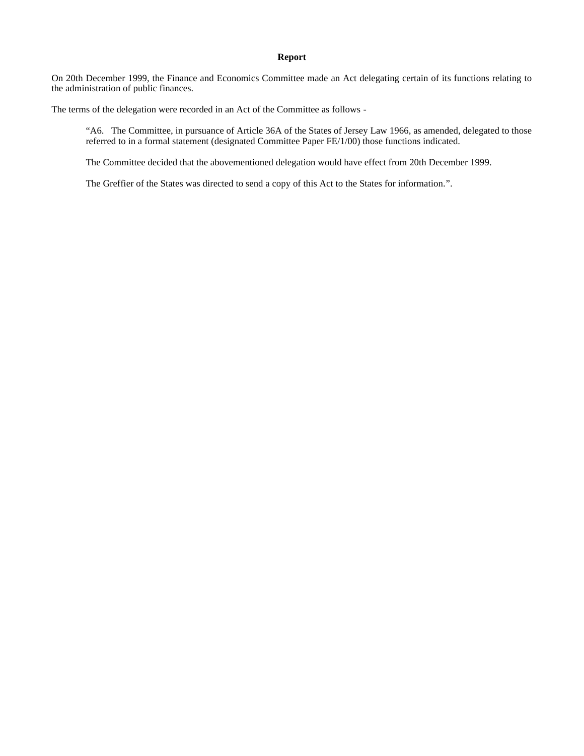#### **Report**

On 20th December 1999, the Finance and Economics Committee made an Act delegating certain of its functions relating to the administration of public finances.

The terms of the delegation were recorded in an Act of the Committee as follows -

"A6. The Committee, in pursuance of Article 36A of the States of Jersey Law 1966, as amended, delegated to those referred to in a formal statement (designated Committee Paper FE/1/00) those functions indicated.

The Committee decided that the abovementioned delegation would have effect from 20th December 1999.

The Greffier of the States was directed to send a copy of this Act to the States for information.".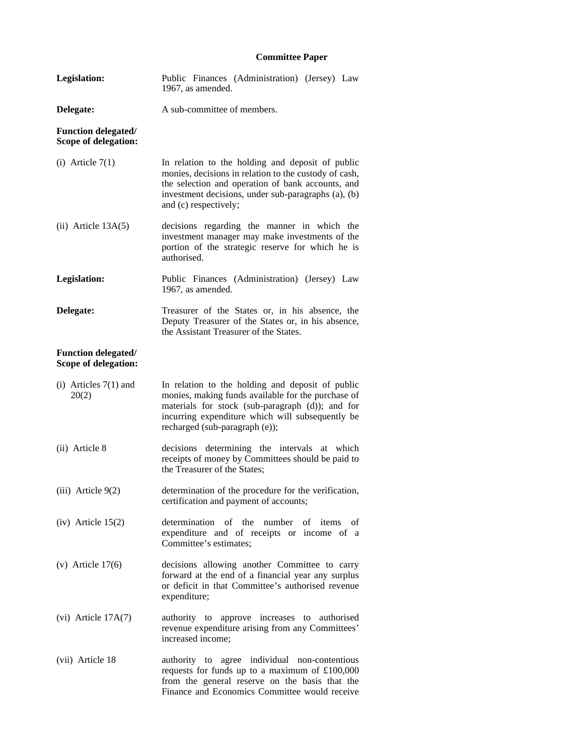## **Committee Paper**

| <b>Legislation:</b>                                | Public Finances (Administration) (Jersey) Law<br>1967, as amended.                                                                                                                                                                               |
|----------------------------------------------------|--------------------------------------------------------------------------------------------------------------------------------------------------------------------------------------------------------------------------------------------------|
| Delegate:                                          | A sub-committee of members.                                                                                                                                                                                                                      |
| <b>Function delegated/</b><br>Scope of delegation: |                                                                                                                                                                                                                                                  |
| (i) Article $7(1)$                                 | In relation to the holding and deposit of public<br>monies, decisions in relation to the custody of cash,<br>the selection and operation of bank accounts, and<br>investment decisions, under sub-paragraphs (a), (b)<br>and (c) respectively;   |
| $(ii)$ Article $13A(5)$                            | decisions regarding the manner in which the<br>investment manager may make investments of the<br>portion of the strategic reserve for which he is<br>authorised.                                                                                 |
| Legislation:                                       | Public Finances (Administration) (Jersey) Law<br>1967, as amended.                                                                                                                                                                               |
| Delegate:                                          | Treasurer of the States or, in his absence, the<br>Deputy Treasurer of the States or, in his absence,<br>the Assistant Treasurer of the States.                                                                                                  |
| <b>Function delegated/</b><br>Scope of delegation: |                                                                                                                                                                                                                                                  |
| (i) Articles $7(1)$ and<br>20(2)                   | In relation to the holding and deposit of public<br>monies, making funds available for the purchase of<br>materials for stock (sub-paragraph (d)); and for<br>incurring expenditure which will subsequently be<br>recharged (sub-paragraph (e)); |
| (ii) Article 8                                     | decisions determining the intervals at which<br>receipts of money by Committees should be paid to<br>the Treasurer of the States;                                                                                                                |
| $(iii)$ Article $9(2)$                             | determination of the procedure for the verification,<br>certification and payment of accounts;                                                                                                                                                   |
| $(iv)$ Article 15(2)                               | determination<br>of the<br>number<br>of items<br>of<br>expenditure and of receipts or income of a<br>Committee's estimates;                                                                                                                      |
| (v) Article $17(6)$                                | decisions allowing another Committee to carry<br>forward at the end of a financial year any surplus<br>or deficit in that Committee's authorised revenue<br>expenditure;                                                                         |
| (vi) Article 17A(7)                                | authority to approve increases to authorised<br>revenue expenditure arising from any Committees'<br>increased income;                                                                                                                            |
| (vii) Article 18                                   | authority to agree individual non-contentious<br>requests for funds up to a maximum of £100,000<br>from the general reserve on the basis that the<br>Finance and Economics Committee would receive                                               |